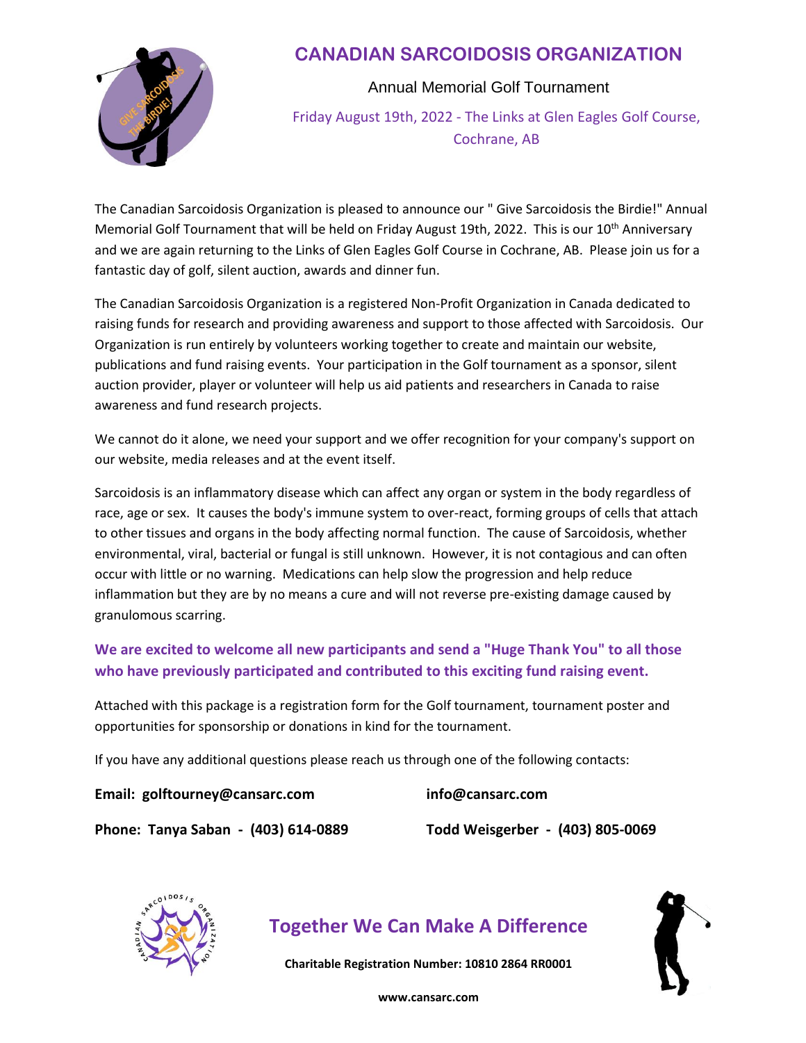

Annual Memorial Golf Tournament Friday August 19th, 2022 - The Links at Glen Eagles Golf Course,

Cochrane, AB

The Canadian Sarcoidosis Organization is pleased to announce our " Give Sarcoidosis the Birdie!" Annual Memorial Golf Tournament that will be held on Friday August 19th, 2022. This is our 10<sup>th</sup> Anniversary and we are again returning to the Links of Glen Eagles Golf Course in Cochrane, AB. Please join us for a fantastic day of golf, silent auction, awards and dinner fun.

The Canadian Sarcoidosis Organization is a registered Non-Profit Organization in Canada dedicated to raising funds for research and providing awareness and support to those affected with Sarcoidosis. Our Organization is run entirely by volunteers working together to create and maintain our website, publications and fund raising events. Your participation in the Golf tournament as a sponsor, silent auction provider, player or volunteer will help us aid patients and researchers in Canada to raise awareness and fund research projects.

We cannot do it alone, we need your support and we offer recognition for your company's support on our website, media releases and at the event itself.

Sarcoidosis is an inflammatory disease which can affect any organ or system in the body regardless of race, age or sex. It causes the body's immune system to over-react, forming groups of cells that attach to other tissues and organs in the body affecting normal function. The cause of Sarcoidosis, whether environmental, viral, bacterial or fungal is still unknown. However, it is not contagious and can often occur with little or no warning. Medications can help slow the progression and help reduce inflammation but they are by no means a cure and will not reverse pre-existing damage caused by granulomous scarring.

**We are excited to welcome all new participants and send a "Huge Thank You" to all those who have previously participated and contributed to this exciting fund raising event.** 

Attached with this package is a registration form for the Golf tournament, tournament poster and opportunities for sponsorship or donations in kind for the tournament.

If you have any additional questions please reach us through one of the following contacts:

**Email: golftourney@cansarc.com info@cansarc.com**

**Phone: Tanya Saban - (403) 614-0889 Todd Weisgerber - (403) 805-0069**

# **Together We Can Make A Difference**

**Charitable Registration Number: 10810 2864 RR0001**

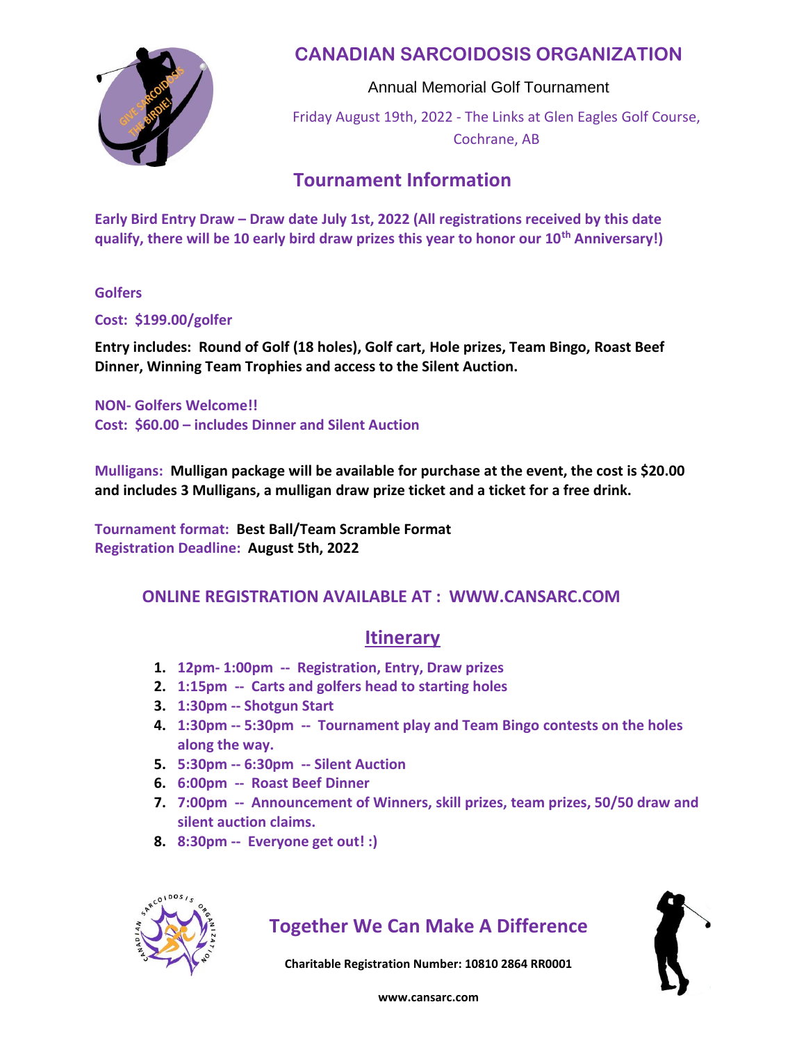

Annual Memorial Golf Tournament Friday August 19th, 2022 - The Links at Glen Eagles Golf Course, Cochrane, AB

#### **Tournament Information**

**Early Bird Entry Draw – Draw date July 1st, 2022 (All registrations received by this date qualify, there will be 10 early bird draw prizes this year to honor our 10th Anniversary!)**

**Golfers**

**Cost: \$199.00/golfer**

**Entry includes: Round of Golf (18 holes), Golf cart, Hole prizes, Team Bingo, Roast Beef Dinner, Winning Team Trophies and access to the Silent Auction.**

**NON- Golfers Welcome!! Cost: \$60.00 – includes Dinner and Silent Auction**

**Mulligans: Mulligan package will be available for purchase at the event, the cost is \$20.00 and includes 3 Mulligans, a mulligan draw prize ticket and a ticket for a free drink.**

**Tournament format: Best Ball/Team Scramble Format Registration Deadline: August 5th, 2022**

#### **ONLINE REGISTRATION AVAILABLE AT : WWW.CANSARC.COM**

#### **Itinerary**

- **1. 12pm- 1:00pm -- Registration, Entry, Draw prizes**
- **2. 1:15pm -- Carts and golfers head to starting holes**
- **3. 1:30pm -- Shotgun Start**
- **4. 1:30pm -- 5:30pm -- Tournament play and Team Bingo contests on the holes along the way.**
- **5. 5:30pm -- 6:30pm -- Silent Auction**
- **6. 6:00pm -- Roast Beef Dinner**
- **7. 7:00pm -- Announcement of Winners, skill prizes, team prizes, 50/50 draw and silent auction claims.**
- **8. 8:30pm -- Everyone get out! :)**



### **Together We Can Make A Difference**

**Charitable Registration Number: 10810 2864 RR0001**

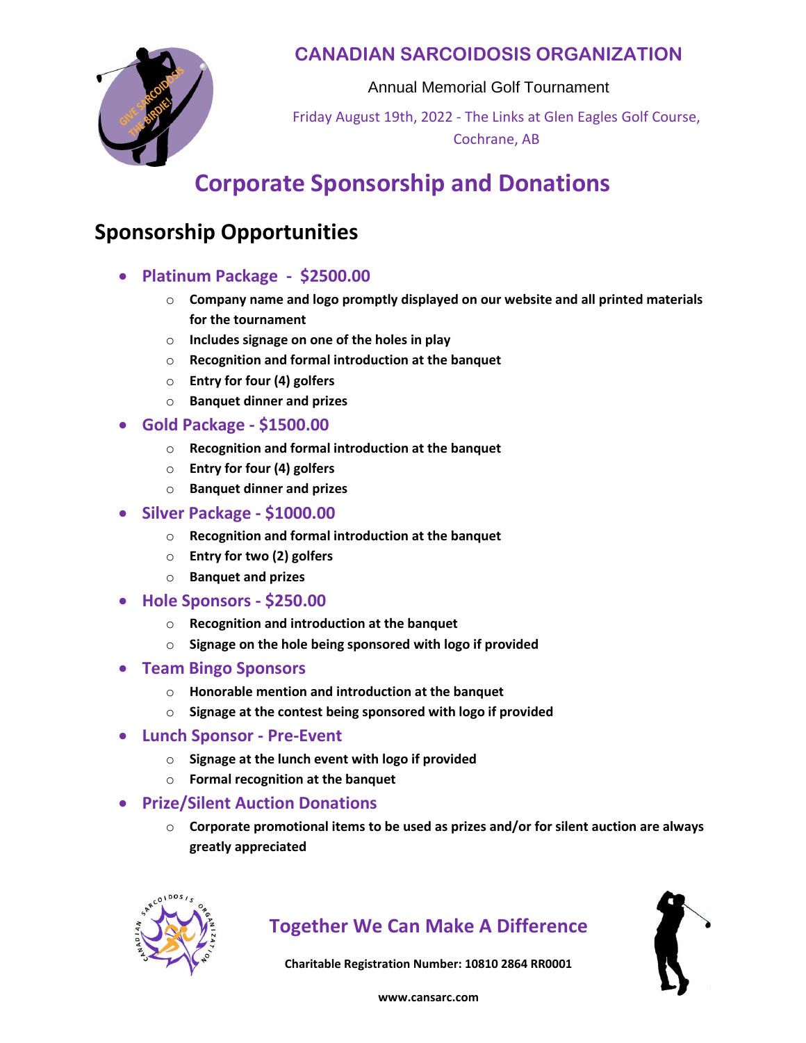

Annual Memorial Golf Tournament

Friday August 19th, 2022 - The Links at Glen Eagles Golf Course, Cochrane, AB

# **Corporate Sponsorship and Donations**

## **Sponsorship Opportunities**

- **Platinum Package \$2500.00**
	- o **Company name and logo promptly displayed on our website and all printed materials for the tournament**
	- o **Includes signage on one of the holes in play**
	- o **Recognition and formal introduction at the banquet**
	- o **Entry for four (4) golfers**
	- o **Banquet dinner and prizes**
- **Gold Package - \$1500.00**
	- o **Recognition and formal introduction at the banquet**
	- o **Entry for four (4) golfers**
	- o **Banquet dinner and prizes**
- **Silver Package - \$1000.00**
	- o **Recognition and formal introduction at the banquet**
	- o **Entry for two (2) golfers**
	- o **Banquet and prizes**
- **Hole Sponsors - \$250.00**
	- o **Recognition and introduction at the banquet**
	- o **Signage on the hole being sponsored with logo if provided**
- **Team Bingo Sponsors**
	- o **Honorable mention and introduction at the banquet**
	- o **Signage at the contest being sponsored with logo if provided**
- **Lunch Sponsor - Pre-Event**
	- o **Signage at the lunch event with logo if provided**
	- o **Formal recognition at the banquet**
- **Prize/Silent Auction Donations**
	- o **Corporate promotional items to be used as prizes and/or for silent auction are always greatly appreciated**



### **Together We Can Make A Difference**

**Charitable Registration Number: 10810 2864 RR0001**

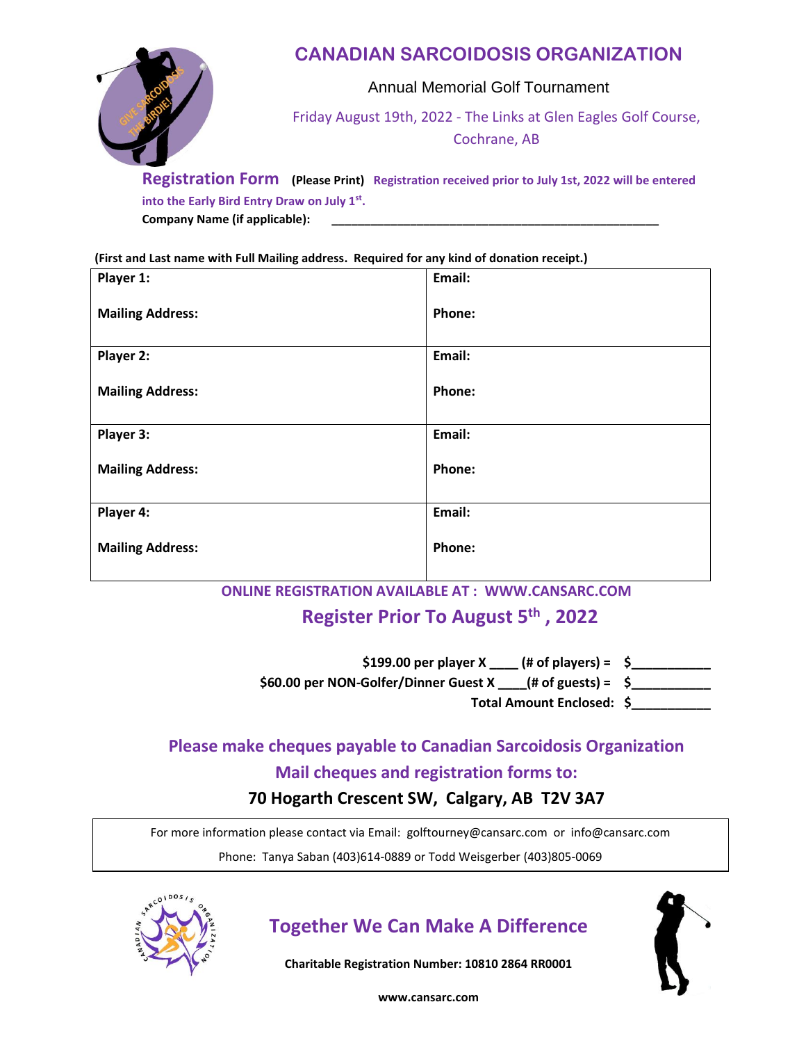

Annual Memorial Golf Tournament

Friday August 19th, 2022 - The Links at Glen Eagles Golf Course, Cochrane, AB

**Registration Form (Please Print) Registration received prior to July 1st, 2022 will be entered into the Early Bird Entry Draw on July 1st . Company Name (if applicable): \_\_\_\_\_\_\_\_\_\_\_\_\_\_\_\_\_\_\_\_\_\_\_\_\_\_\_\_\_\_\_\_\_\_\_\_\_\_\_\_\_\_\_\_\_\_\_\_\_\_**

**(First and Last name with Full Mailing address. Required for any kind of donation receipt.)**

| Player 1:               | Email: |
|-------------------------|--------|
| <b>Mailing Address:</b> | Phone: |
| Player 2:               | Email: |
| <b>Mailing Address:</b> | Phone: |
| Player 3:               | Email: |
| <b>Mailing Address:</b> | Phone: |
| Player 4:               | Email: |
| <b>Mailing Address:</b> | Phone: |

**ONLINE REGISTRATION AVAILABLE AT : WWW.CANSARC.COM**

#### **Register Prior To August 5 th , 2022**

**\$199.00 per player X \_\_\_\_ (# of players) = \$\_\_\_\_\_\_\_\_\_\_\_**

**\$60.00 per NON-Golfer/Dinner Guest X \_\_\_\_(# of guests) = \$\_\_\_\_\_\_\_\_\_\_\_**

**Total Amount Enclosed: \$\_\_\_\_\_\_\_\_\_\_\_**

### **Please make cheques payable to Canadian Sarcoidosis Organization Mail cheques and registration forms to:**

**70 Hogarth Crescent SW, Calgary, AB T2V 3A7**

For more information please contact via Email: golftourney@cansarc.com or info@cansarc.com

Phone: Tanya Saban (403)614-0889 or Todd Weisgerber (403)805-0069



# **Together We Can Make A Difference**

**Charitable Registration Number: 10810 2864 RR0001**

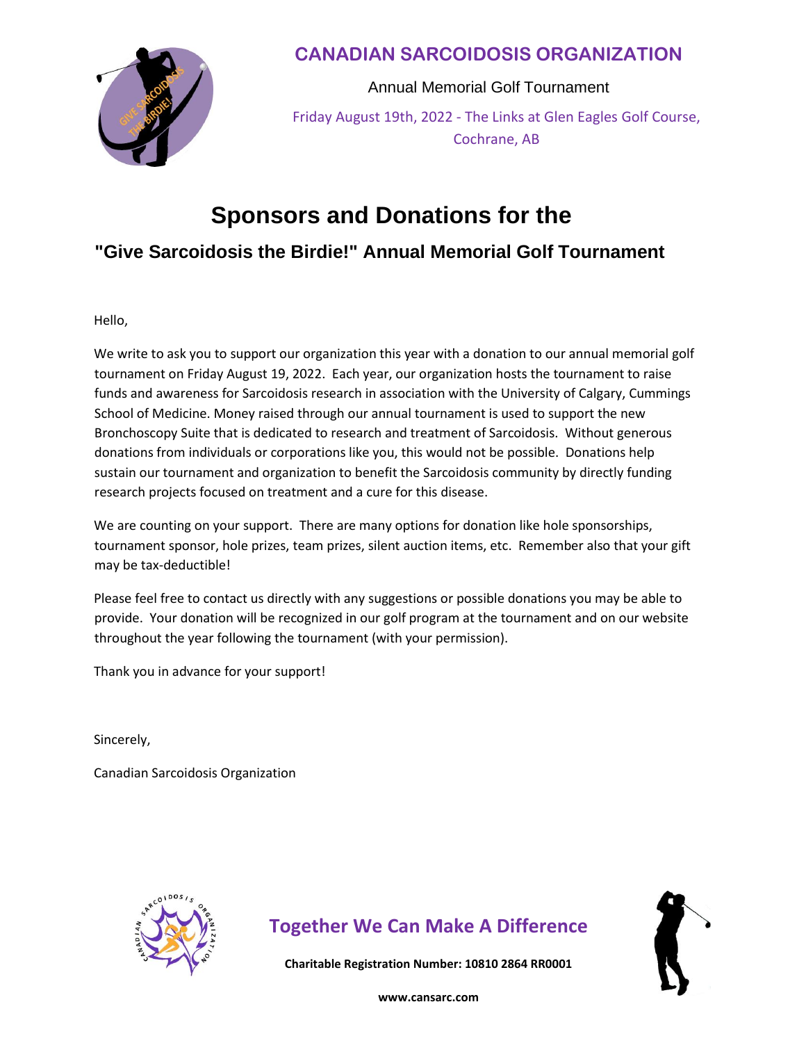

Annual Memorial Golf Tournament Friday August 19th, 2022 - The Links at Glen Eagles Golf Course, Cochrane, AB

# **Sponsors and Donations for the**

#### **"Give Sarcoidosis the Birdie!" Annual Memorial Golf Tournament**

Hello,

We write to ask you to support our organization this year with a donation to our annual memorial golf tournament on Friday August 19, 2022. Each year, our organization hosts the tournament to raise funds and awareness for Sarcoidosis research in association with the University of Calgary, Cummings School of Medicine. Money raised through our annual tournament is used to support the new Bronchoscopy Suite that is dedicated to research and treatment of Sarcoidosis. Without generous donations from individuals or corporations like you, this would not be possible. Donations help sustain our tournament and organization to benefit the Sarcoidosis community by directly funding research projects focused on treatment and a cure for this disease.

We are counting on your support. There are many options for donation like hole sponsorships, tournament sponsor, hole prizes, team prizes, silent auction items, etc. Remember also that your gift may be tax-deductible!

Please feel free to contact us directly with any suggestions or possible donations you may be able to provide. Your donation will be recognized in our golf program at the tournament and on our website throughout the year following the tournament (with your permission).

Thank you in advance for your support!

Sincerely,

Canadian Sarcoidosis Organization



# **Together We Can Make A Difference**

**Charitable Registration Number: 10810 2864 RR0001**